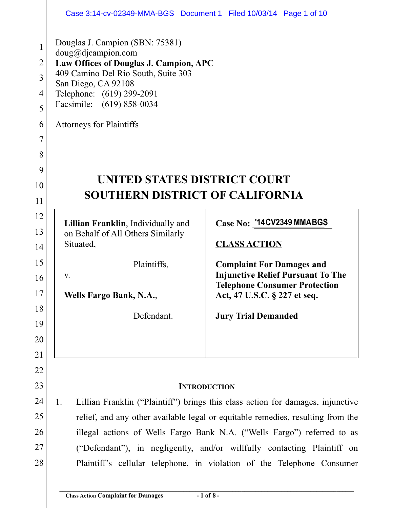|                                                           | Case 3:14-cv-02349-MMA-BGS Document 1 Filed 10/03/14 Page 1 of 10                                                                                                                                                                                          |  |  |  |  |  |  |  |  |
|-----------------------------------------------------------|------------------------------------------------------------------------------------------------------------------------------------------------------------------------------------------------------------------------------------------------------------|--|--|--|--|--|--|--|--|
| 1<br>$\overline{2}$<br>3<br>$\overline{4}$<br>5<br>6<br>7 | Douglas J. Campion (SBN: 75381)<br>doug@djaampion.com<br>Law Offices of Douglas J. Campion, APC<br>409 Camino Del Rio South, Suite 303<br>San Diego, CA 92108<br>Telephone: (619) 299-2091<br>Facsimile: (619) 858-0034<br><b>Attorneys for Plaintiffs</b> |  |  |  |  |  |  |  |  |
| 8                                                         |                                                                                                                                                                                                                                                            |  |  |  |  |  |  |  |  |
| 9<br>10                                                   | UNITED STATES DISTRICT COURT                                                                                                                                                                                                                               |  |  |  |  |  |  |  |  |
| 11                                                        | <b>SOUTHERN DISTRICT OF CALIFORNIA</b>                                                                                                                                                                                                                     |  |  |  |  |  |  |  |  |
| 12                                                        |                                                                                                                                                                                                                                                            |  |  |  |  |  |  |  |  |
| 13                                                        | Case No: '14CV2349 MMABGS<br>Lillian Franklin, Individually and<br>on Behalf of All Others Similarly                                                                                                                                                       |  |  |  |  |  |  |  |  |
| 14                                                        | Situated,<br><b>CLASS ACTION</b>                                                                                                                                                                                                                           |  |  |  |  |  |  |  |  |
| 15                                                        | Plaintiffs,<br><b>Complaint For Damages and</b>                                                                                                                                                                                                            |  |  |  |  |  |  |  |  |
| 16                                                        | <b>Injunctive Relief Pursuant To The</b><br>V.<br><b>Telephone Consumer Protection</b>                                                                                                                                                                     |  |  |  |  |  |  |  |  |
| 17                                                        | Wells Fargo Bank, N.A.,<br>Act, 47 U.S.C. § 227 et seq.                                                                                                                                                                                                    |  |  |  |  |  |  |  |  |
| 18                                                        | Defendant.<br><b>Jury Trial Demanded</b>                                                                                                                                                                                                                   |  |  |  |  |  |  |  |  |
| 19                                                        |                                                                                                                                                                                                                                                            |  |  |  |  |  |  |  |  |
| 20<br>21                                                  |                                                                                                                                                                                                                                                            |  |  |  |  |  |  |  |  |
| 22                                                        |                                                                                                                                                                                                                                                            |  |  |  |  |  |  |  |  |
| 23                                                        | <b>INTRODUCTION</b>                                                                                                                                                                                                                                        |  |  |  |  |  |  |  |  |
| 24                                                        | Lillian Franklin ("Plaintiff") brings this class action for damages, injunctive<br>1.                                                                                                                                                                      |  |  |  |  |  |  |  |  |
| 25                                                        | relief, and any other available legal or equitable remedies, resulting from the                                                                                                                                                                            |  |  |  |  |  |  |  |  |
| 26                                                        | illegal actions of Wells Fargo Bank N.A. ("Wells Fargo") referred to as                                                                                                                                                                                    |  |  |  |  |  |  |  |  |
| 27                                                        | ("Defendant"), in negligently, and/or willfully contacting Plaintiff on                                                                                                                                                                                    |  |  |  |  |  |  |  |  |
| 28                                                        | Plaintiff's cellular telephone, in violation of the Telephone Consumer                                                                                                                                                                                     |  |  |  |  |  |  |  |  |
|                                                           |                                                                                                                                                                                                                                                            |  |  |  |  |  |  |  |  |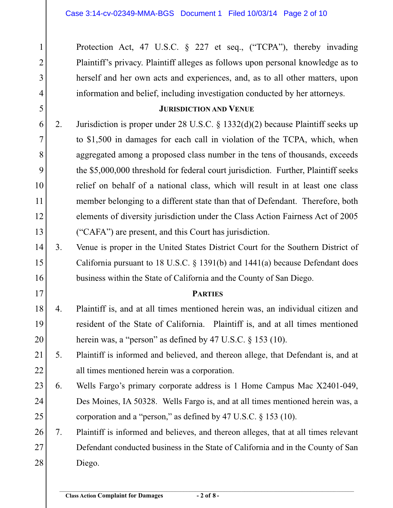Protection Act, 47 U.S.C. § 227 et seq., ("TCPA"), thereby invading Plaintiff's privacy. Plaintiff alleges as follows upon personal knowledge as to herself and her own acts and experiences, and, as to all other matters, upon information and belief, including investigation conducted by her attorneys. **JURISDICTION AND VENUE** 2. Jurisdiction is proper under 28 U.S.C. § 1332(d)(2) because Plaintiff seeks up to \$1,500 in damages for each call in violation of the TCPA, which, when aggregated among a proposed class number in the tens of thousands, exceeds the \$5,000,000 threshold for federal court jurisdiction. Further, Plaintiff seeks relief on behalf of a national class, which will result in at least one class member belonging to a different state than that of Defendant. Therefore, both elements of diversity jurisdiction under the Class Action Fairness Act of 2005 ("CAFA") are present, and this Court has jurisdiction. 3. Venue is proper in the United States District Court for the Southern District of California pursuant to 18 U.S.C. § 1391(b) and 1441(a) because Defendant does business within the State of California and the County of San Diego. **PARTIES** 4. Plaintiff is, and at all times mentioned herein was, an individual citizen and resident of the State of California. Plaintiff is, and at all times mentioned herein was, a "person" as defined by 47 U.S.C. § 153 (10). 5. Plaintiff is informed and believed, and thereon allege, that Defendant is, and at all times mentioned herein was a corporation. 6. Wells Fargo's primary corporate address is 1 Home Campus Mac X2401-049, Des Moines, IA 50328. Wells Fargo is, and at all times mentioned herein was, a corporation and a "person," as defined by 47 U.S.C. § 153 (10). 7. Plaintiff is informed and believes, and thereon alleges, that at all times relevant Defendant conducted business in the State of California and in the County of San Diego. 1 2 3 4 5 6 7 8 9 10 11 12 13 14 15 16 17 18 19 20 21 22 23 24 25 26 27 28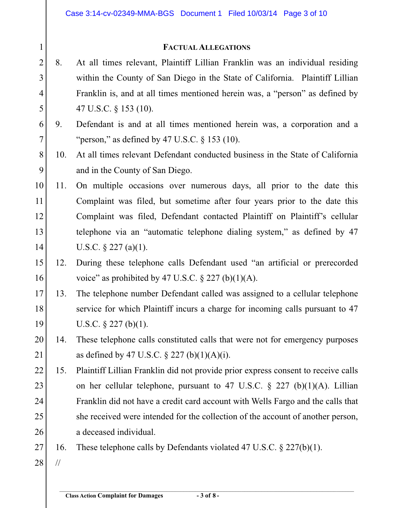## **FACTUAL ALLEGATIONS**

- 8. At all times relevant, Plaintiff Lillian Franklin was an individual residing within the County of San Diego in the State of California. Plaintiff Lillian Franklin is, and at all times mentioned herein was, a "person" as defined by 47 U.S.C. § 153 (10). 2 3 4 5
- 9. Defendant is and at all times mentioned herein was, a corporation and a "person," as defined by 47 U.S.C.  $\S$  153 (10). 6 7
- 10. At all times relevant Defendant conducted business in the State of California and in the County of San Diego. 8 9
- 11. On multiple occasions over numerous days, all prior to the date this Complaint was filed, but sometime after four years prior to the date this Complaint was filed, Defendant contacted Plaintiff on Plaintiff's cellular telephone via an "automatic telephone dialing system," as defined by 47 U.S.C. § 227 (a)(1). 10 11 12 13 14
- 12. During these telephone calls Defendant used "an artificial or prerecorded voice" as prohibited by 47 U.S.C.  $\S 227$  (b)(1)(A). 15 16
- 13. The telephone number Defendant called was assigned to a cellular telephone service for which Plaintiff incurs a charge for incoming calls pursuant to 47 U.S.C.  $\S 227$  (b)(1). 17 18 19
- 14. These telephone calls constituted calls that were not for emergency purposes as defined by 47 U.S.C.  $\S 227 (b)(1)(A)(i)$ . 20 21
- 15. Plaintiff Lillian Franklin did not provide prior express consent to receive calls on her cellular telephone, pursuant to 47 U.S.C.  $\S$  227 (b)(1)(A). Lillian Franklin did not have a credit card account with Wells Fargo and the calls that she received were intended for the collection of the account of another person, a deceased individual. 22 23 24 25 26
- 16. These telephone calls by Defendants violated 47 U.S.C. § 227(b)(1). 27
- // 28

1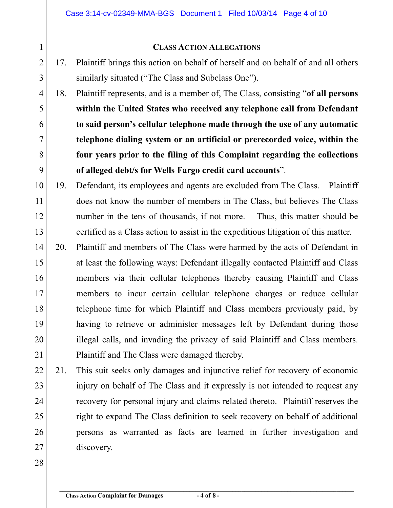## **CLASS ACTION ALLEGATIONS**

17. Plaintiff brings this action on behalf of herself and on behalf of and all others similarly situated ("The Class and Subclass One").

18. Plaintiff represents, and is a member of, The Class, consisting "**of all persons within the United States who received any telephone call from Defendant to said person's cellular telephone made through the use of any automatic telephone dialing system or an artificial or prerecorded voice, within the four years prior to the filing of this Complaint regarding the collections of alleged debt/s for Wells Fargo credit card accounts**". 4 5 6 7 8 9

- 19. Defendant, its employees and agents are excluded from The Class. Plaintiff does not know the number of members in The Class, but believes The Class number in the tens of thousands, if not more. Thus, this matter should be certified as a Class action to assist in the expeditious litigation of this matter. 10 11 12 13
- 20. Plaintiff and members of The Class were harmed by the acts of Defendant in at least the following ways: Defendant illegally contacted Plaintiff and Class members via their cellular telephones thereby causing Plaintiff and Class members to incur certain cellular telephone charges or reduce cellular telephone time for which Plaintiff and Class members previously paid, by having to retrieve or administer messages left by Defendant during those illegal calls, and invading the privacy of said Plaintiff and Class members. Plaintiff and The Class were damaged thereby. 14 15 16 17 18 19 20 21
- 21. This suit seeks only damages and injunctive relief for recovery of economic injury on behalf of The Class and it expressly is not intended to request any recovery for personal injury and claims related thereto. Plaintiff reserves the right to expand The Class definition to seek recovery on behalf of additional persons as warranted as facts are learned in further investigation and discovery. 22 23 24 25 26 27
- 28

1

2

3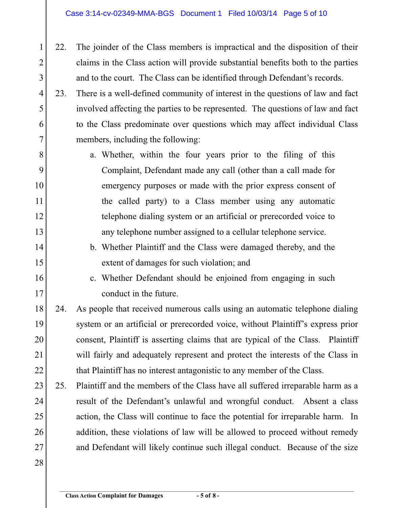- 22. The joinder of the Class members is impractical and the disposition of their claims in the Class action will provide substantial benefits both to the parties and to the court. The Class can be identified through Defendant's records. 2 3
- 23. There is a well-defined community of interest in the questions of law and fact involved affecting the parties to be represented. The questions of law and fact to the Class predominate over questions which may affect individual Class members, including the following: 4 5 6 7
- a. Whether, within the four years prior to the filing of this Complaint, Defendant made any call (other than a call made for emergency purposes or made with the prior express consent of the called party) to a Class member using any automatic telephone dialing system or an artificial or prerecorded voice to any telephone number assigned to a cellular telephone service. 8 9 10 11 12 13
- b. Whether Plaintiff and the Class were damaged thereby, and the extent of damages for such violation; and 14 15
- c. Whether Defendant should be enjoined from engaging in such conduct in the future. 16 17
- 24. As people that received numerous calls using an automatic telephone dialing system or an artificial or prerecorded voice, without Plaintiff's express prior consent, Plaintiff is asserting claims that are typical of the Class. Plaintiff will fairly and adequately represent and protect the interests of the Class in that Plaintiff has no interest antagonistic to any member of the Class. 18 19 20 21 22
- 25. Plaintiff and the members of the Class have all suffered irreparable harm as a result of the Defendant's unlawful and wrongful conduct. Absent a class action, the Class will continue to face the potential for irreparable harm. In addition, these violations of law will be allowed to proceed without remedy and Defendant will likely continue such illegal conduct. Because of the size 23 24 25 26 27
- 28

1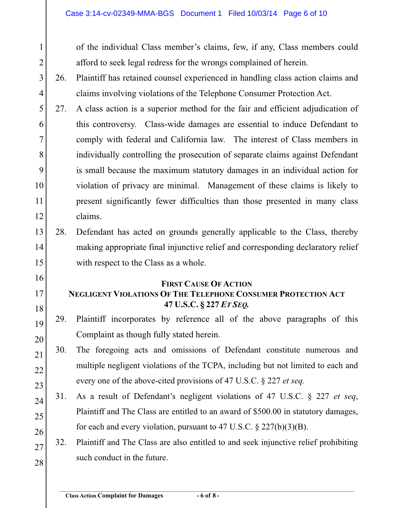of the individual Class member's claims, few, if any, Class members could afford to seek legal redress for the wrongs complained of herein.

- 26. Plaintiff has retained counsel experienced in handling class action claims and claims involving violations of the Telephone Consumer Protection Act. 3 4
- 27. A class action is a superior method for the fair and efficient adjudication of this controversy. Class-wide damages are essential to induce Defendant to comply with federal and California law. The interest of Class members in individually controlling the prosecution of separate claims against Defendant is small because the maximum statutory damages in an individual action for violation of privacy are minimal. Management of these claims is likely to present significantly fewer difficulties than those presented in many class claims. 5 6 7 8 9 10 11 12
- 28. Defendant has acted on grounds generally applicable to the Class, thereby making appropriate final injunctive relief and corresponding declaratory relief with respect to the Class as a whole. 13 14 15
- 16

1

2

- 17
- 18

19

**47 U.S.C. § 227** *ET SEQ.* 29. Plaintiff incorporates by reference all of the above paragraphs of this

**FIRST CAUSE OF ACTION NEGLIGENT VIOLATIONS OF THE TELEPHONE CONSUMER PROTECTION ACT**

- Complaint as though fully stated herein. 20
- 30. The foregoing acts and omissions of Defendant constitute numerous and multiple negligent violations of the TCPA, including but not limited to each and every one of the above-cited provisions of 47 U.S.C. § 227 *et seq.*  21 22 23
- 31. As a result of Defendant's negligent violations of 47 U.S.C. § 227 *et seq*, Plaintiff and The Class are entitled to an award of \$500.00 in statutory damages, for each and every violation, pursuant to 47 U.S.C.  $\S 227(b)(3)(B)$ . 24 25 26
- 32. Plaintiff and The Class are also entitled to and seek injunctive relief prohibiting such conduct in the future. 27 28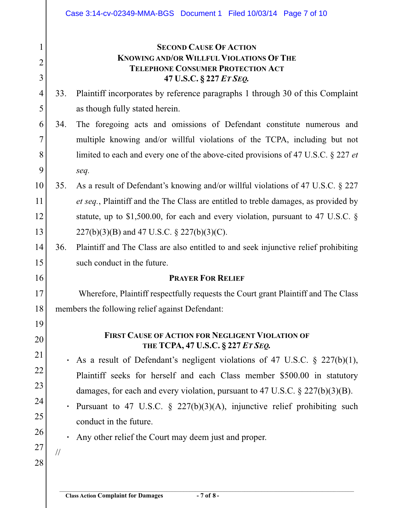|                          | Case 3:14-cv-02349-MMA-BGS Document 1 Filed 10/03/14 Page 7 of 10                                                                                  |  |  |  |  |  |  |  |  |
|--------------------------|----------------------------------------------------------------------------------------------------------------------------------------------------|--|--|--|--|--|--|--|--|
| 1<br>$\overline{2}$<br>3 | <b>SECOND CAUSE OF ACTION</b><br><b>KNOWING AND/OR WILLFUL VIOLATIONS OF THE</b><br><b>TELEPHONE CONSUMER PROTECTION ACT</b>                       |  |  |  |  |  |  |  |  |
| $\overline{4}$           | 47 U.S.C. § 227 ET SEQ.<br>Plaintiff incorporates by reference paragraphs 1 through 30 of this Complaint<br>33.                                    |  |  |  |  |  |  |  |  |
| 5                        | as though fully stated herein.                                                                                                                     |  |  |  |  |  |  |  |  |
| 6                        | 34.                                                                                                                                                |  |  |  |  |  |  |  |  |
| 7                        | The foregoing acts and omissions of Defendant constitute numerous and<br>multiple knowing and/or willful violations of the TCPA, including but not |  |  |  |  |  |  |  |  |
| 8                        | limited to each and every one of the above-cited provisions of 47 U.S.C. § 227 et                                                                  |  |  |  |  |  |  |  |  |
| 9                        |                                                                                                                                                    |  |  |  |  |  |  |  |  |
| 10                       | seq.<br>35.<br>As a result of Defendant's knowing and/or willful violations of 47 U.S.C. § 227                                                     |  |  |  |  |  |  |  |  |
| 11                       | et seq., Plaintiff and the The Class are entitled to treble damages, as provided by                                                                |  |  |  |  |  |  |  |  |
| 12                       | statute, up to \$1,500.00, for each and every violation, pursuant to 47 U.S.C. $\S$                                                                |  |  |  |  |  |  |  |  |
| 13                       | $227(b)(3)(B)$ and 47 U.S.C. § 227(b)(3)(C).                                                                                                       |  |  |  |  |  |  |  |  |
| 14                       | 36.<br>Plaintiff and The Class are also entitled to and seek injunctive relief prohibiting                                                         |  |  |  |  |  |  |  |  |
| 15                       | such conduct in the future.                                                                                                                        |  |  |  |  |  |  |  |  |
| 16                       | <b>PRAYER FOR RELIEF</b>                                                                                                                           |  |  |  |  |  |  |  |  |
| 17                       | Wherefore, Plaintiff respectfully requests the Court grant Plaintiff and The Class                                                                 |  |  |  |  |  |  |  |  |
| 18                       | members the following relief against Defendant:                                                                                                    |  |  |  |  |  |  |  |  |
| 19                       |                                                                                                                                                    |  |  |  |  |  |  |  |  |
| 20                       | <b>FIRST CAUSE OF ACTION FOR NEGLIGENT VIOLATION OF</b>                                                                                            |  |  |  |  |  |  |  |  |
| 21                       | THE TCPA, 47 U.S.C. § 227 ET SEQ.                                                                                                                  |  |  |  |  |  |  |  |  |
| 22                       | As a result of Defendant's negligent violations of 47 U.S.C. $\S$ 227(b)(1),                                                                       |  |  |  |  |  |  |  |  |
| 23                       | Plaintiff seeks for herself and each Class member \$500.00 in statutory                                                                            |  |  |  |  |  |  |  |  |
| 24                       | damages, for each and every violation, pursuant to 47 U.S.C. $\S 227(b)(3)(B)$ .                                                                   |  |  |  |  |  |  |  |  |
| 25                       | Pursuant to 47 U.S.C. $\S$ 227(b)(3)(A), injunctive relief prohibiting such                                                                        |  |  |  |  |  |  |  |  |
| 26                       | conduct in the future.                                                                                                                             |  |  |  |  |  |  |  |  |
| 27                       | Any other relief the Court may deem just and proper.                                                                                               |  |  |  |  |  |  |  |  |
| 28                       | $\frac{1}{2}$                                                                                                                                      |  |  |  |  |  |  |  |  |
|                          |                                                                                                                                                    |  |  |  |  |  |  |  |  |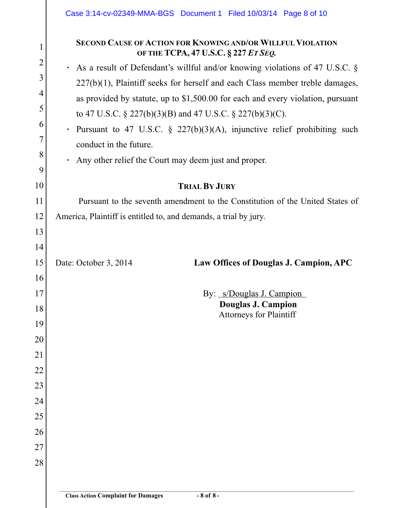|                     | Case 3:14-cv-02349-MMA-BGS Document 1 Filed 10/03/14 Page 8 of 10                                                                                                                                                               |  |  |  |  |  |  |  |  |  |  |
|---------------------|---------------------------------------------------------------------------------------------------------------------------------------------------------------------------------------------------------------------------------|--|--|--|--|--|--|--|--|--|--|
| 1<br>$\overline{2}$ | <b>SECOND CAUSE OF ACTION FOR KNOWING AND/OR WILLFUL VIOLATION</b><br>OF THE TCPA, 47 U.S.C. § 227 ET SEQ.                                                                                                                      |  |  |  |  |  |  |  |  |  |  |
| 3                   | As a result of Defendant's willful and/or knowing violations of 47 U.S.C. §                                                                                                                                                     |  |  |  |  |  |  |  |  |  |  |
| $\overline{4}$      | $227(b)(1)$ , Plaintiff seeks for herself and each Class member treble damages,<br>as provided by statute, up to \$1,500.00 for each and every violation, pursuant<br>to 47 U.S.C. § 227(b)(3)(B) and 47 U.S.C. § 227(b)(3)(C). |  |  |  |  |  |  |  |  |  |  |
| 5                   |                                                                                                                                                                                                                                 |  |  |  |  |  |  |  |  |  |  |
| 6                   |                                                                                                                                                                                                                                 |  |  |  |  |  |  |  |  |  |  |
| 7                   | Pursuant to 47 U.S.C. $\S$ 227(b)(3)(A), injunctive relief prohibiting such                                                                                                                                                     |  |  |  |  |  |  |  |  |  |  |
| 8                   | conduct in the future.                                                                                                                                                                                                          |  |  |  |  |  |  |  |  |  |  |
| 9                   | Any other relief the Court may deem just and proper.                                                                                                                                                                            |  |  |  |  |  |  |  |  |  |  |
| 10                  | <b>TRIAL BY JURY</b>                                                                                                                                                                                                            |  |  |  |  |  |  |  |  |  |  |
| 11                  | Pursuant to the seventh amendment to the Constitution of the United States of                                                                                                                                                   |  |  |  |  |  |  |  |  |  |  |
| 12                  | America, Plaintiff is entitled to, and demands, a trial by jury.                                                                                                                                                                |  |  |  |  |  |  |  |  |  |  |
| 13                  |                                                                                                                                                                                                                                 |  |  |  |  |  |  |  |  |  |  |
| 14                  |                                                                                                                                                                                                                                 |  |  |  |  |  |  |  |  |  |  |
| 15                  | Law Offices of Douglas J. Campion, APC<br>Date: October 3, 2014                                                                                                                                                                 |  |  |  |  |  |  |  |  |  |  |
| 16                  |                                                                                                                                                                                                                                 |  |  |  |  |  |  |  |  |  |  |
| 17                  | By: s/Douglas J. Campion                                                                                                                                                                                                        |  |  |  |  |  |  |  |  |  |  |
| 18                  | Douglas J. Campion<br>Attorneys for Plaintiff                                                                                                                                                                                   |  |  |  |  |  |  |  |  |  |  |
| 19                  |                                                                                                                                                                                                                                 |  |  |  |  |  |  |  |  |  |  |
| 20                  |                                                                                                                                                                                                                                 |  |  |  |  |  |  |  |  |  |  |
| 21                  |                                                                                                                                                                                                                                 |  |  |  |  |  |  |  |  |  |  |
| 22                  |                                                                                                                                                                                                                                 |  |  |  |  |  |  |  |  |  |  |
| 23                  |                                                                                                                                                                                                                                 |  |  |  |  |  |  |  |  |  |  |
| 24                  |                                                                                                                                                                                                                                 |  |  |  |  |  |  |  |  |  |  |
| 25                  |                                                                                                                                                                                                                                 |  |  |  |  |  |  |  |  |  |  |
| 26                  |                                                                                                                                                                                                                                 |  |  |  |  |  |  |  |  |  |  |
| 27                  |                                                                                                                                                                                                                                 |  |  |  |  |  |  |  |  |  |  |
| 28                  |                                                                                                                                                                                                                                 |  |  |  |  |  |  |  |  |  |  |
|                     |                                                                                                                                                                                                                                 |  |  |  |  |  |  |  |  |  |  |
|                     |                                                                                                                                                                                                                                 |  |  |  |  |  |  |  |  |  |  |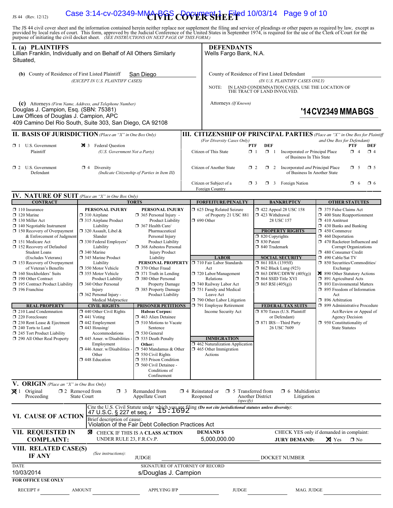## Case 3:14-cv-02349-MMARGS COVER SHEET 6 10/03/14 Page 9 of 10

JS 44 (Rev. 12/12)

The JS 44 civil cover sheet and the information contained herein neither replace nor supplement the filing and service of pleadings or other papers as required by law, except as provided by local rules of court. This form,

| I. (a) PLAINTIFFS<br>Lillian Franklin, Individually and on Behalf of All Others Similarly<br>Situated,                                      |                                                                      |                                                                                                                                                                                |  | <b>DEFENDANTS</b><br>Wells Fargo Bank, N.A.                                  |                                                  |                                                                    |                                                                                                                   |                 |
|---------------------------------------------------------------------------------------------------------------------------------------------|----------------------------------------------------------------------|--------------------------------------------------------------------------------------------------------------------------------------------------------------------------------|--|------------------------------------------------------------------------------|--------------------------------------------------|--------------------------------------------------------------------|-------------------------------------------------------------------------------------------------------------------|-----------------|
| (b) County of Residence of First Listed Plaintiff                                                                                           |                                                                      | San Diego                                                                                                                                                                      |  | County of Residence of First Listed Defendant                                |                                                  |                                                                    |                                                                                                                   |                 |
|                                                                                                                                             | (EXCEPT IN U.S. PLAINTIFF CASES)                                     |                                                                                                                                                                                |  | (IN U.S. PLAINTIFF CASES ONLY)                                               |                                                  |                                                                    |                                                                                                                   |                 |
|                                                                                                                                             |                                                                      |                                                                                                                                                                                |  | NOTE:                                                                        | THE TRACT OF LAND INVOLVED.                      |                                                                    | IN LAND CONDEMNATION CASES, USE THE LOCATION OF                                                                   |                 |
| (c) Attorneys (Firm Name, Address, and Telephone Number)                                                                                    |                                                                      |                                                                                                                                                                                |  | Attorneys (If Known)                                                         |                                                  |                                                                    |                                                                                                                   |                 |
| Douglas J. Campion, Esq. (SBN: 75381)<br>Law Offices of Douglas J. Campion, APC<br>409 Camino Del Rio South, Suite 303, San Diego, CA 92108 |                                                                      |                                                                                                                                                                                |  |                                                                              |                                                  |                                                                    | '14CV2349 MMABGS                                                                                                  |                 |
| <b>II. BASIS OF JURISDICTION</b> (Place an "X" in One Box Only)                                                                             |                                                                      |                                                                                                                                                                                |  | (For Diversity Cases Only)                                                   |                                                  |                                                                    | <b>III. CITIZENSHIP OF PRINCIPAL PARTIES</b> (Place an "X" in One Box for Plaintiff<br>and One Box for Defendant) |                 |
| U.S. Government<br>$\Box$ 1<br>Plaintiff                                                                                                    | 3 Federal Question<br>(U.S. Government Not a Party)                  |                                                                                                                                                                                |  | Citizen of This State                                                        | <b>DEF</b><br><b>PTF</b><br>$\Box$ 1<br>$\Box$ 1 | Incorporated or Principal Place<br>of Business In This State       | PTF<br>$\Box$ 4                                                                                                   | DEF<br>$\Box$ 4 |
| $\Box$ 2 U.S. Government<br>Defendant                                                                                                       | $\Box$ 4 Diversity                                                   | (Indicate Citizenship of Parties in Item III)                                                                                                                                  |  | Citizen of Another State                                                     | $\Box$ 2                                         | 2 Incorporated and Principal Place<br>of Business In Another State | $\Box$ 5                                                                                                          | $\square$ 5     |
|                                                                                                                                             |                                                                      |                                                                                                                                                                                |  | Citizen or Subject of a<br>Foreign Country                                   | $\Box$ 3                                         | $\Box$ 3 Foreign Nation                                            | $\Box$ 6                                                                                                          | $\Box$ 6        |
| <b>IV. NATURE OF SUIT</b> (Place an "X" in One Box Only)<br><b>CONTRACT</b>                                                                 |                                                                      | <b>TORTS</b>                                                                                                                                                                   |  |                                                                              |                                                  |                                                                    |                                                                                                                   |                 |
| $\Box$ 110 Insurance                                                                                                                        | PERSONAL INJURY                                                      | PERSONAL INJURY                                                                                                                                                                |  | <b>FORFEITURE/PENALTY</b><br>1 625 Drug Related Seizure                      |                                                  | <b>BANKRUPTCY</b><br>1422 Appeal 28 USC 158                        | <b>OTHER STATUTES</b><br>375 False Claims Act                                                                     |                 |
| $\Box$ 120 Marine                                                                                                                           | $\Box$ 310 Airplane                                                  | $\Box$ 365 Personal Injury -                                                                                                                                                   |  | of Property 21 USC 881                                                       | 423 Withdrawal                                   |                                                                    | 1 400 State Reapportionment                                                                                       |                 |
| 130 Miller Act<br>$\Box$ 140 Negotiable Instrument                                                                                          | □ 315 Airplane Product<br>Liability                                  | Product Liability<br>367 Health Care/                                                                                                                                          |  | $\Box$ 690 Other                                                             | 28 USC 157                                       |                                                                    | $\Box$ 410 Antitrust<br>$\Box$ 430 Banks and Banking                                                              |                 |
| 150 Recovery of Overpayment<br>& Enforcement of Judgment                                                                                    | □ 320 Assault, Libel &<br>Slander                                    | Pharmaceutical<br>Personal Injury                                                                                                                                              |  |                                                                              | $\Box$ 820 Copyrights                            | <b>PROPERTY RIGHTS</b>                                             | $\Box$ 450 Commerce<br>$\Box$ 460 Deportation                                                                     |                 |
| 151 Medicare Act                                                                                                                            | 330 Federal Employers'                                               | <b>Product Liability</b>                                                                                                                                                       |  |                                                                              | □ 830 Patent                                     |                                                                    | 1 470 Racketeer Influenced and                                                                                    |                 |
| 152 Recovery of Defaulted<br><b>Student Loans</b>                                                                                           | Liability<br>340 Marine                                              | 368 Asbestos Personal<br><b>Injury Product</b>                                                                                                                                 |  |                                                                              | □ 840 Trademark                                  |                                                                    | Corrupt Organizations<br>480 Consumer Credit                                                                      |                 |
| (Excludes Veterans)<br>$\Box$ 153 Recovery of Overpayment                                                                                   | 345 Marine Product<br>Liability                                      | Liability<br>PERSONAL PROPERTY                                                                                                                                                 |  | <b>LABOR</b><br>710 Fair Labor Standards                                     | $\Box$ 861 HIA (1395ff)                          | <b>SOCIAL SECURITY</b>                                             | 490 Cable/Sat TV<br>□ 850 Securities/Commodities/                                                                 |                 |
| of Veteran's Benefits                                                                                                                       | □ 350 Motor Vehicle                                                  | 370 Other Fraud                                                                                                                                                                |  | Act                                                                          | $\Box$ 862 Black Lung (923)                      |                                                                    | Exchange                                                                                                          |                 |
| $\Box$ 160 Stockholders' Suits<br>190 Other Contract                                                                                        | □ 355 Motor Vehicle<br><b>Product Liability</b>                      | $\Box$ 371 Truth in Lending<br>380 Other Personal                                                                                                                              |  | 720 Labor/Management<br>Relations                                            | □ 864 SSID Title XVI                             | $\Box$ 863 DIWC/DIWW (405(g))                                      | 890 Other Statutory Actions<br>$\Box$ 891 Agricultural Acts                                                       |                 |
| 195 Contract Product Liability                                                                                                              | 360 Other Personal                                                   | Property Damage                                                                                                                                                                |  | 740 Railway Labor Act                                                        | $\Box$ 865 RSI (405(g))                          |                                                                    | □ 893 Environmental Matters                                                                                       |                 |
| $\Box$ 196 Franchise                                                                                                                        | Injury<br>$\Box$ 362 Personal Injury -                               | 385 Property Damage<br>Product Liability                                                                                                                                       |  | 751 Family and Medical<br>Leave Act                                          |                                                  |                                                                    | □ 895 Freedom of Information<br>Act                                                                               |                 |
| <b>REAL PROPERTY</b>                                                                                                                        | Medical Malpractice<br><b>CIVIL RIGHTS</b>                           | <b>PRISONER PETITIONS</b>                                                                                                                                                      |  | 790 Other Labor Litigation<br>791 Employee Retirement                        |                                                  | <b>FEDERAL TAX SUITS</b>                                           | □ 896 Arbitration<br>□ 899 Administrative Procedure                                                               |                 |
| $\Box$ 210 Land Condemnation                                                                                                                | $\Box$ 440 Other Civil Rights                                        | <b>Habeas Corpus:</b>                                                                                                                                                          |  | Income Security Act                                                          |                                                  | □ 870 Taxes (U.S. Plaintiff                                        | Act/Review or Appeal of                                                                                           |                 |
| 220 Foreclosure<br>$\Box$ 230 Rent Lease & Ejectment                                                                                        | $\Box$ 441 Voting<br>$\Box$ 442 Employment                           | 1463 Alien Detainee<br>$\Box$ 510 Motions to Vacate                                                                                                                            |  |                                                                              | □ 871 IRS-Third Party                            | or Defendant)                                                      | Agency Decision<br>$\Box$ 950 Constitutionality of                                                                |                 |
| $\Box$ 240 Torts to Land                                                                                                                    | $\Box$ 443 Housing/                                                  | Sentence                                                                                                                                                                       |  |                                                                              |                                                  | 26 USC 7609                                                        | State Statutes                                                                                                    |                 |
| $\Box$ 245 Tort Product Liability<br>290 All Other Real Property                                                                            | Accommodations<br>$\Box$ 445 Amer. w/Disabilities -                  | □ 530 General<br>535 Death Penalty                                                                                                                                             |  | <b>IMMIGRATION</b>                                                           |                                                  |                                                                    |                                                                                                                   |                 |
|                                                                                                                                             | Employment<br>$\Box$ 446 Amer. w/Disabilities                        | Other:<br>$\Box$ 540 Mandamus & Other                                                                                                                                          |  | $\Box$ 462 Naturalization Application<br>$\Box$ 465 Other Immigration        |                                                  |                                                                    |                                                                                                                   |                 |
|                                                                                                                                             | Other                                                                | $\Box$ 550 Civil Rights                                                                                                                                                        |  | Actions                                                                      |                                                  |                                                                    |                                                                                                                   |                 |
|                                                                                                                                             | 448 Education<br>555 Prison Condition<br>$\Box$ 560 Civil Detainee - |                                                                                                                                                                                |  |                                                                              |                                                  |                                                                    |                                                                                                                   |                 |
|                                                                                                                                             |                                                                      | Conditions of<br>Confinement                                                                                                                                                   |  |                                                                              |                                                  |                                                                    |                                                                                                                   |                 |
| V. ORIGIN (Place an "X" in One Box Only)                                                                                                    |                                                                      |                                                                                                                                                                                |  |                                                                              |                                                  |                                                                    |                                                                                                                   |                 |
| $\boxtimes$ 1 Original<br>Proceeding                                                                                                        | $\square$ 2 Removed from<br>$\Box$ 3<br><b>State Court</b>           | Remanded from<br>Appellate Court                                                                                                                                               |  | $\Box$ 4 Reinstated or<br>$\Box$ 5 Transferred from<br>Reopened<br>(specify) | Another District                                 | $\Box$ 6 Multidistrict<br>Litigation                               |                                                                                                                   |                 |
|                                                                                                                                             |                                                                      | Cite the U.S. Civil Statute under which you are filing <i>(Do not cite jurisdictional statutes unless diversity)</i> :<br>47 U S C S 227 et seq $\frac{i}{15}$ 15 $\cdot$ 1692 |  |                                                                              |                                                  |                                                                    |                                                                                                                   |                 |
| VI. CAUSE OF ACTION                                                                                                                         | 47 U.S.C. § 227 et seq. i<br>Brief description of cause:             |                                                                                                                                                                                |  |                                                                              |                                                  |                                                                    |                                                                                                                   |                 |
|                                                                                                                                             |                                                                      | Violation of the Fair Debt Collection Practices Act                                                                                                                            |  |                                                                              |                                                  |                                                                    |                                                                                                                   |                 |
| VII. REQUESTED IN<br><b>COMPLAINT:</b>                                                                                                      | ⊠<br>UNDER RULE 23, F.R.Cv.P.                                        | CHECK IF THIS IS A CLASS ACTION                                                                                                                                                |  | <b>DEMAND \$</b><br>5,000,000.00                                             |                                                  | <b>JURY DEMAND:</b>                                                | CHECK YES only if demanded in complaint:<br>$\times$ Yes<br>$\square$ No                                          |                 |
| VIII. RELATED CASE(S)<br><b>IF ANY</b>                                                                                                      | (See instructions):                                                  | <b>JUDGE</b>                                                                                                                                                                   |  |                                                                              |                                                  | DOCKET NUMBER                                                      |                                                                                                                   |                 |
| <b>DATE</b>                                                                                                                                 |                                                                      | SIGNATURE OF ATTORNEY OF RECORD                                                                                                                                                |  |                                                                              |                                                  |                                                                    |                                                                                                                   |                 |
| 10/03/2014<br>s/Douglas J. Campion                                                                                                          |                                                                      |                                                                                                                                                                                |  |                                                                              |                                                  |                                                                    |                                                                                                                   |                 |
| <b>FOR OFFICE USE ONLY</b>                                                                                                                  |                                                                      |                                                                                                                                                                                |  |                                                                              |                                                  |                                                                    |                                                                                                                   |                 |
| <b>RECEIPT#</b>                                                                                                                             | <b>AMOUNT</b>                                                        | <b>APPLYING IFP</b>                                                                                                                                                            |  | <b>JUDGE</b>                                                                 |                                                  | MAG. JUDGE                                                         |                                                                                                                   |                 |